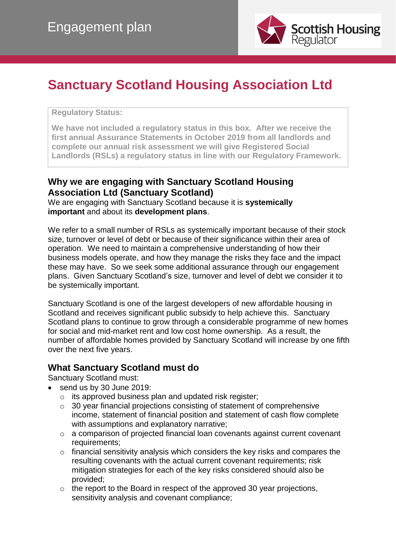

# **Sanctuary Scotland Housing Association Ltd**

#### **Regulatory Status:**

**We have not included a regulatory status in this box. After we receive the first annual Assurance Statements in October 2019 from all landlords and complete our annual risk assessment we will give Registered Social Landlords (RSLs) a regulatory status in line with our Regulatory Framework.**

#### **Why we are engaging with Sanctuary Scotland Housing Association Ltd (Sanctuary Scotland)**

We are engaging with Sanctuary Scotland because it is **systemically important** and about its **development plans**.

We refer to a small number of RSLs as systemically important because of their stock size, turnover or level of debt or because of their significance within their area of operation. We need to maintain a comprehensive understanding of how their business models operate, and how they manage the risks they face and the impact these may have. So we seek some additional assurance through our engagement plans. Given Sanctuary Scotland's size, turnover and level of debt we consider it to be systemically important.

Sanctuary Scotland is one of the largest developers of new affordable housing in Scotland and receives significant public subsidy to help achieve this. Sanctuary Scotland plans to continue to grow through a considerable programme of new homes for social and mid-market rent and low cost home ownership. As a result, the number of affordable homes provided by Sanctuary Scotland will increase by one fifth over the next five years.

#### **What Sanctuary Scotland must do**

Sanctuary Scotland must:

- send us by 30 June 2019:
	- o its approved business plan and updated risk register;
	- o 30 year financial projections consisting of statement of comprehensive income, statement of financial position and statement of cash flow complete with assumptions and explanatory narrative;
	- o a comparison of projected financial loan covenants against current covenant requirements;
	- o financial sensitivity analysis which considers the key risks and compares the resulting covenants with the actual current covenant requirements; risk mitigation strategies for each of the key risks considered should also be provided;
	- $\circ$  the report to the Board in respect of the approved 30 year projections, sensitivity analysis and covenant compliance;